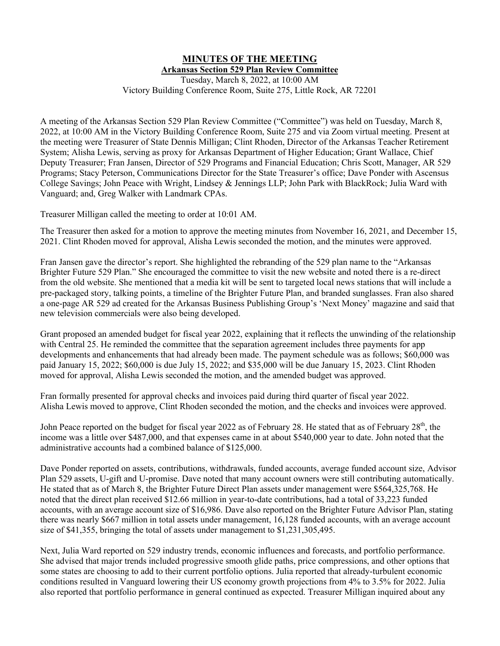## **MINUTES OF THE MEETING Arkansas Section 529 Plan Review Committee** Tuesday, March 8, 2022, at 10:00 AM

Victory Building Conference Room, Suite 275, Little Rock, AR 72201

A meeting of the Arkansas Section 529 Plan Review Committee ("Committee") was held on Tuesday, March 8, 2022, at 10:00 AM in the Victory Building Conference Room, Suite 275 and via Zoom virtual meeting. Present at the meeting were Treasurer of State Dennis Milligan; Clint Rhoden, Director of the Arkansas Teacher Retirement System; Alisha Lewis, serving as proxy for Arkansas Department of Higher Education; Grant Wallace, Chief Deputy Treasurer; Fran Jansen, Director of 529 Programs and Financial Education; Chris Scott, Manager, AR 529 Programs; Stacy Peterson, Communications Director for the State Treasurer's office; Dave Ponder with Ascensus College Savings; John Peace with Wright, Lindsey & Jennings LLP; John Park with BlackRock; Julia Ward with Vanguard; and, Greg Walker with Landmark CPAs.

Treasurer Milligan called the meeting to order at 10:01 AM.

The Treasurer then asked for a motion to approve the meeting minutes from November 16, 2021, and December 15, 2021. Clint Rhoden moved for approval, Alisha Lewis seconded the motion, and the minutes were approved.

Fran Jansen gave the director's report. She highlighted the rebranding of the 529 plan name to the "Arkansas Brighter Future 529 Plan." She encouraged the committee to visit the new website and noted there is a re-direct from the old website. She mentioned that a media kit will be sent to targeted local news stations that will include a pre-packaged story, talking points, a timeline of the Brighter Future Plan, and branded sunglasses. Fran also shared a one-page AR 529 ad created for the Arkansas Business Publishing Group's 'Next Money' magazine and said that new television commercials were also being developed.

Grant proposed an amended budget for fiscal year 2022, explaining that it reflects the unwinding of the relationship with Central 25. He reminded the committee that the separation agreement includes three payments for app developments and enhancements that had already been made. The payment schedule was as follows; \$60,000 was paid January 15, 2022; \$60,000 is due July 15, 2022; and \$35,000 will be due January 15, 2023. Clint Rhoden moved for approval, Alisha Lewis seconded the motion, and the amended budget was approved.

Fran formally presented for approval checks and invoices paid during third quarter of fiscal year 2022. Alisha Lewis moved to approve, Clint Rhoden seconded the motion, and the checks and invoices were approved.

John Peace reported on the budget for fiscal year 2022 as of February 28. He stated that as of February 28<sup>th</sup>, the income was a little over \$487,000, and that expenses came in at about \$540,000 year to date. John noted that the administrative accounts had a combined balance of \$125,000.

Dave Ponder reported on assets, contributions, withdrawals, funded accounts, average funded account size, Advisor Plan 529 assets, U-gift and U-promise. Dave noted that many account owners were still contributing automatically. He stated that as of March 8, the Brighter Future Direct Plan assets under management were \$564,325,768. He noted that the direct plan received \$12.66 million in year-to-date contributions, had a total of 33,223 funded accounts, with an average account size of \$16,986. Dave also reported on the Brighter Future Advisor Plan, stating there was nearly \$667 million in total assets under management, 16,128 funded accounts, with an average account size of \$41,355, bringing the total of assets under management to \$1,231,305,495.

Next, Julia Ward reported on 529 industry trends, economic influences and forecasts, and portfolio performance. She advised that major trends included progressive smooth glide paths, price compressions, and other options that some states are choosing to add to their current portfolio options. Julia reported that already-turbulent economic conditions resulted in Vanguard lowering their US economy growth projections from 4% to 3.5% for 2022. Julia also reported that portfolio performance in general continued as expected. Treasurer Milligan inquired about any